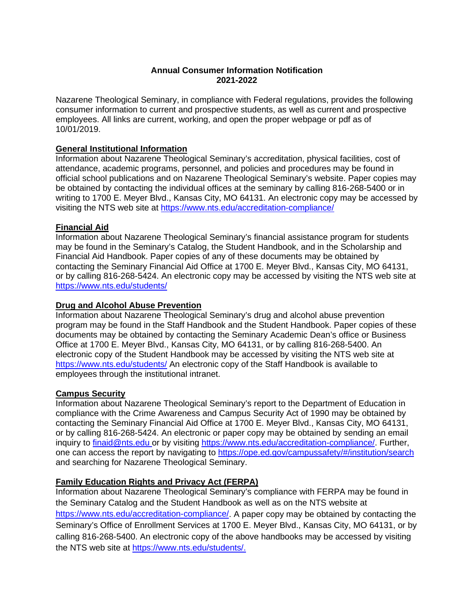# **Annual Consumer Information Notification 2021-2022**

Nazarene Theological Seminary, in compliance with Federal regulations, provides the following consumer information to current and prospective students, as well as current and prospective employees. All links are current, working, and open the proper webpage or pdf as of 10/01/2019.

### **General Institutional Information**

Information about Nazarene Theological Seminary's accreditation, physical facilities, cost of attendance, academic programs, personnel, and policies and procedures may be found in official school publications and on Nazarene Theological Seminary's website. Paper copies may be obtained by contacting the individual offices at the seminary by calling 816-268-5400 or in writing to 1700 E. Meyer Blvd., Kansas City, MO 64131. An electronic copy may be accessed by visiting the NTS web site at<https://www.nts.edu/accreditation-compliance/>

### **Financial Aid**

Information about Nazarene Theological Seminary's financial assistance program for students may be found in the Seminary's Catalog, the Student Handbook, and in the Scholarship and Financial Aid Handbook. Paper copies of any of these documents may be obtained by contacting the Seminary Financial Aid Office at 1700 E. Meyer Blvd., Kansas City, MO 64131, or by calling 816-268-5424. An electronic copy may be accessed by visiting the NTS web site at <https://www.nts.edu/students/>

#### **Drug and Alcohol Abuse Prevention**

Information about Nazarene Theological Seminary's drug and alcohol abuse prevention program may be found in the Staff Handbook and the Student Handbook. Paper copies of these documents may be obtained by contacting the Seminary Academic Dean's office or Business Office at 1700 E. Meyer Blvd., Kansas City, MO 64131, or by calling 816-268-5400. An electronic copy of the Student Handbook may be accessed by visiting the NTS web site at <https://www.nts.edu/students/> An electronic copy of the Staff Handbook is available to employees through the institutional intranet.

## **Campus Security**

Information about Nazarene Theological Seminary's report to the Department of Education in compliance with the Crime Awareness and Campus Security Act of 1990 may be obtained by contacting the Seminary Financial Aid Office at 1700 E. Meyer Blvd., Kansas City, MO 64131, or by calling 816-268-5424. An electronic or paper copy may be obtained by sending an email inquiry to [finaid@nts.edu](mailto:finaid@nts.edu) or by visiting [https://www.nts.edu/accreditation-compliance/.](https://www.nts.edu/accreditation-compliance/) Further, one can access the report by navigating to<https://ope.ed.gov/campussafety/#/institution/search> and searching for Nazarene Theological Seminary.

## **Family Education Rights and Privacy Act (FERPA)**

Information about Nazarene Theological Seminary's compliance with FERPA may be found in the Seminary Catalog and the Student Handbook as well as on the NTS website at [https://www.nts.edu/accreditation-compliance/.](https://www.nts.edu/accreditation-compliance/) A paper copy may be obtained by contacting the Seminary's Office of Enrollment Services at 1700 E. Meyer Blvd., Kansas City, MO 64131, or by calling 816-268-5400. An electronic copy of the above handbooks may be accessed by visiting the NTS web site at [https://www.nts.edu/students/.](https://www.nts.edu/students/)